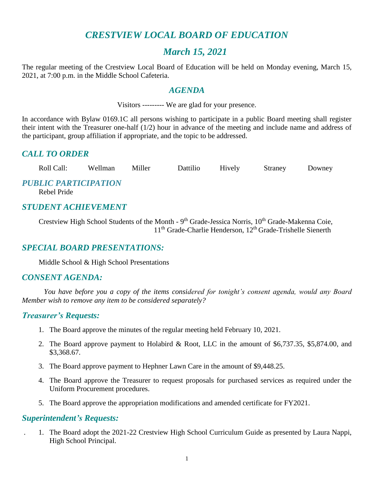# *CRESTVIEW LOCAL BOARD OF EDUCATION*

# *March 15, 2021*

The regular meeting of the Crestview Local Board of Education will be held on Monday evening, March 15, 2021, at 7:00 p.m. in the Middle School Cafeteria.

### *AGENDA*

Visitors --------- We are glad for your presence.

In accordance with Bylaw 0169.1C all persons wishing to participate in a public Board meeting shall register their intent with the Treasurer one-half (1/2) hour in advance of the meeting and include name and address of the participant, group affiliation if appropriate, and the topic to be addressed.

# *CALL TO ORDER*

Roll Call: Wellman Miller Dattilio Hively Straney Downey

### *PUBLIC PARTICIPATION*

Rebel Pride

# *STUDENT ACHIEVEMENT*

Crestview High School Students of the Month - 9<sup>th</sup> Grade-Jessica Norris, 10<sup>th</sup> Grade-Makenna Coie, 11<sup>th</sup> Grade-Charlie Henderson, 12<sup>th</sup> Grade-Trishelle Sienerth

# *SPECIAL BOARD PRESENTATIONS:*

Middle School & High School Presentations

### *CONSENT AGENDA:*

*You have before you a copy of the items considered for tonight's consent agenda, would any Board Member wish to remove any item to be considered separately?*

# *Treasurer's Requests:*

- 1. The Board approve the minutes of the regular meeting held February 10, 2021.
- 2. The Board approve payment to Holabird & Root, LLC in the amount of \$6,737.35, \$5,874.00, and \$3,368.67.
- 3. The Board approve payment to Hephner Lawn Care in the amount of \$9,448.25.
- 4. The Board approve the Treasurer to request proposals for purchased services as required under the Uniform Procurement procedures.
- 5. The Board approve the appropriation modifications and amended certificate for FY2021.

### *Superintendent's Requests:*

. 1. The Board adopt the 2021-22 Crestview High School Curriculum Guide as presented by Laura Nappi, High School Principal.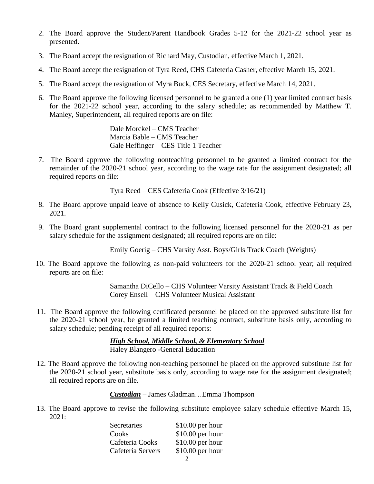- 2. The Board approve the Student/Parent Handbook Grades 5-12 for the 2021-22 school year as presented.
- 3. The Board accept the resignation of Richard May, Custodian, effective March 1, 2021.
- 4. The Board accept the resignation of Tyra Reed, CHS Cafeteria Casher, effective March 15, 2021.
- 5. The Board accept the resignation of Myra Buck, CES Secretary, effective March 14, 2021.
- 6. The Board approve the following licensed personnel to be granted a one (1) year limited contract basis for the 2021-22 school year, according to the salary schedule; as recommended by Matthew T. Manley, Superintendent, all required reports are on file:

Dale Morckel – CMS Teacher Marcia Bable – CMS Teacher Gale Heffinger – CES Title 1 Teacher

 7. The Board approve the following nonteaching personnel to be granted a limited contract for the remainder of the 2020-21 school year, according to the wage rate for the assignment designated; all required reports on file:

Tyra Reed – CES Cafeteria Cook (Effective 3/16/21)

- 8. The Board approve unpaid leave of absence to Kelly Cusick, Cafeteria Cook, effective February 23, 2021.
- 9. The Board grant supplemental contract to the following licensed personnel for the 2020-21 as per salary schedule for the assignment designated; all required reports are on file:

Emily Goerig – CHS Varsity Asst. Boys/Girls Track Coach (Weights)

 10. The Board approve the following as non-paid volunteers for the 2020-21 school year; all required reports are on file:

> Samantha DiCello – CHS Volunteer Varsity Assistant Track & Field Coach Corey Ensell – CHS Volunteer Musical Assistant

 11. The Board approve the following certificated personnel be placed on the approved substitute list for the 2020-21 school year, be granted a limited teaching contract, substitute basis only, according to salary schedule; pending receipt of all required reports:

> *High School, Middle School, & Elementary School* Haley Blangero -General Education

 12. The Board approve the following non-teaching personnel be placed on the approved substitute list for the 2020-21 school year, substitute basis only, according to wage rate for the assignment designated; all required reports are on file.

*Custodian* – James Gladman…Emma Thompson

 13. The Board approve to revise the following substitute employee salary schedule effective March 15, 2021:

| Secretaries       | $$10.00$ per hour |
|-------------------|-------------------|
| Cooks             | $$10.00$ per hour |
| Cafeteria Cooks   | $$10.00$ per hour |
| Cafeteria Servers | $$10.00$ per hour |
|                   |                   |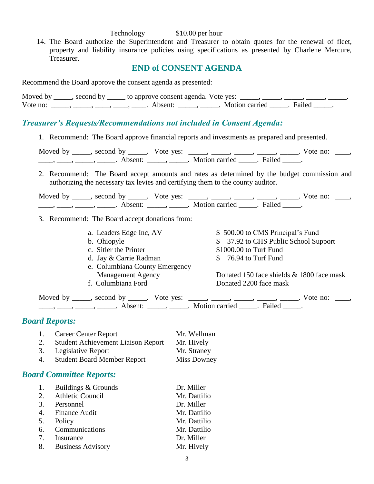#### Technology \$10.00 per hour

 14. The Board authorize the Superintendent and Treasurer to obtain quotes for the renewal of fleet, property and liability insurance policies using specifications as presented by Charlene Mercure, Treasurer.

### **END of CONSENT AGENDA**

Recommend the Board approve the consent agenda as presented:

| Moved by | second by | y ______ to approve consent agenda. Vote yes: |                |        |
|----------|-----------|-----------------------------------------------|----------------|--------|
| Vote no: |           | Absent <sup>.</sup>                           | Motion carried | Failed |

### *Treasurer's Requests/Recommendations not included in Consent Agenda:*

1. Recommend: The Board approve financial reports and investments as prepared and presented.

| Moved by _____, second by _____. Vote yes: |                       | Vote no: |  |
|--------------------------------------------|-----------------------|----------|--|
| Absent <sup>.</sup>                        | Motion carried Failed |          |  |

2. Recommend: The Board accept amounts and rates as determined by the budget commission and authorizing the necessary tax levies and certifying them to the county auditor.

| Moved by | second by | Vote yes: |                | no.<br>√ote⊹ |  |
|----------|-----------|-----------|----------------|--------------|--|
|          |           |           | Motion carried |              |  |

- 3. Recommend: The Board accept donations from:
	-
	-
	-
	- d. Jay & Carrie Radman  $\qquad$  \$ 76.94 to Turf Fund
	- e. Columbiana County Emergency
	-

a. Leaders Edge Inc, AV  $$ 500.00$  to CMS Principal's Fund b. Ohiopyle  $$37.92$  to CHS Public School Support c. Sitler the Printer  $$1000.00$  to Turf Fund

Management Agency Donated 150 face shields & 1800 face mask f. Columbiana Ford Donated 2200 face mask

Moved by \_\_\_\_, second by \_\_\_\_\_. Vote yes: \_\_\_\_, \_\_\_\_, \_\_\_\_, \_\_\_\_, \_\_\_\_. Vote no: \_\_\_, \_\_\_\_\_, \_\_\_\_\_\_, \_\_\_\_\_\_\_. Absent: \_\_\_\_\_\_, \_\_\_\_\_\_. Motion carried \_\_\_\_\_\_. Failed \_\_\_\_\_.

### *Board Reports:*

1. Career Center Report Mr. Wellman 2. Student Achievement Liaison Report Mr. Hively 3. Legislative Report Mr. Straney 4. Student Board Member Report Miss Downey

### *Board Committee Reports:*

| 1. Buildings & Grounds | Dr. Miller   |
|------------------------|--------------|
| 2. Athletic Council    | Mr. Dattilio |
| 3. Personnel           | Dr. Miller   |
| 4. Finance Audit       | Mr. Dattilio |
| 5. Policy              | Mr. Dattilio |
| 6. Communications      | Mr. Dattilio |
| 7. Insurance           | Dr. Miller   |
| 8. Business Advisory   | Mr. Hively   |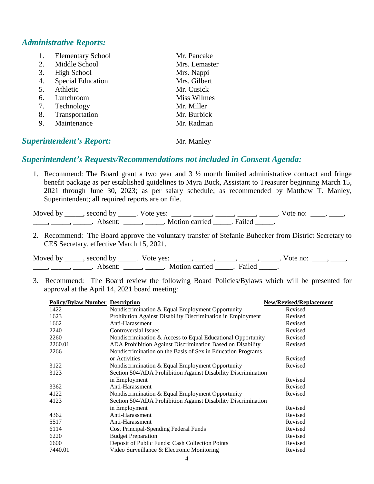### *Administrative Reports:*

| 1. | <b>Elementary School</b> | Mr. Pancake   |
|----|--------------------------|---------------|
| 2. | Middle School            | Mrs. Lemaster |
| 3. | High School              | Mrs. Nappi    |
| 4. | <b>Special Education</b> | Mrs. Gilbert  |
| 5. | Athletic                 | Mr. Cusick    |
| 6. | Lunchroom                | Miss Wilmes   |
| 7. | Technology               | Mr. Miller    |
| 8. | Transportation           | Mr. Burbick   |
| 9. | Maintenance              | Mr. Radman    |
|    |                          |               |

### **Superintendent's Report:** Mr. Manley

### *Superintendent's Requests/Recommendations not included in Consent Agenda:*

1. Recommend: The Board grant a two year and 3 ½ month limited administrative contract and fringe benefit package as per established guidelines to Myra Buck, Assistant to Treasurer beginning March 15, 2021 through June 30, 2023; as per salary schedule; as recommended by Matthew T. Manley, Superintendent; all required reports are on file.

| Moved by | $\sim$ second by | Vote yes: |                |        | vote no. |  |
|----------|------------------|-----------|----------------|--------|----------|--|
|          |                  |           | Motion carried | Failed |          |  |

2. Recommend: The Board approve the voluntary transfer of Stefanie Buhecker from District Secretary to CES Secretary, effective March 15, 2021.

Moved by \_\_\_\_\_, second by \_\_\_\_\_. Vote yes: \_\_\_\_\_, \_\_\_\_\_, \_\_\_\_\_, \_\_\_\_\_, \_\_\_\_\_. Vote no: \_\_\_\_, \_\_\_\_, \_\_\_\_\_, \_\_\_\_\_\_, Absent: \_\_\_\_\_, \_\_\_\_\_. Motion carried \_\_\_\_\_. Failed \_\_\_\_\_.

3. Recommend: The Board review the following Board Policies/Bylaws which will be presented for approval at the April 14, 2021 board meeting:

| <b>Policy/Bylaw Number Description</b> |                                                               | New/Revised/Replacement |
|----------------------------------------|---------------------------------------------------------------|-------------------------|
| 1422                                   | Nondiscrimination & Equal Employment Opportunity              | Revised                 |
| 1623                                   | Prohibition Against Disability Discrimination in Employment   | Revised                 |
| 1662                                   | Anti-Harassment                                               | Revised                 |
| 2240                                   | <b>Controversial Issues</b>                                   | Revised                 |
| 2260                                   | Nondiscrimination & Access to Equal Educational Opportunity   | Revised                 |
| 2260.01                                | ADA Prohibition Against Discrimination Based on Disability    | Revised                 |
| 2266                                   | Nondiscrimination on the Basis of Sex in Education Programs   |                         |
|                                        | or Activities                                                 | Revised                 |
| 3122                                   | Nondiscrimination & Equal Employment Opportunity              | Revised                 |
| 3123                                   | Section 504/ADA Prohibition Against Disability Discrimination |                         |
|                                        | in Employment                                                 | Revised                 |
| 3362                                   | Anti-Harassment                                               | Revised                 |
| 4122                                   | Nondiscrimination & Equal Employment Opportunity              | Revised                 |
| 4123                                   | Section 504/ADA Prohibition Against Disability Discrimination |                         |
|                                        | in Employment                                                 | Revised                 |
| 4362                                   | Anti-Harassment                                               | Revised                 |
| 5517                                   | Anti-Harassment                                               | Revised                 |
| 6114                                   | Cost Principal-Spending Federal Funds                         | Revised                 |
| 6220                                   | <b>Budget Preparation</b>                                     | Revised                 |
| 6600                                   | Deposit of Public Funds: Cash Collection Points               | Revised                 |
| 7440.01                                | Video Surveillance & Electronic Monitoring                    | Revised                 |
|                                        |                                                               |                         |